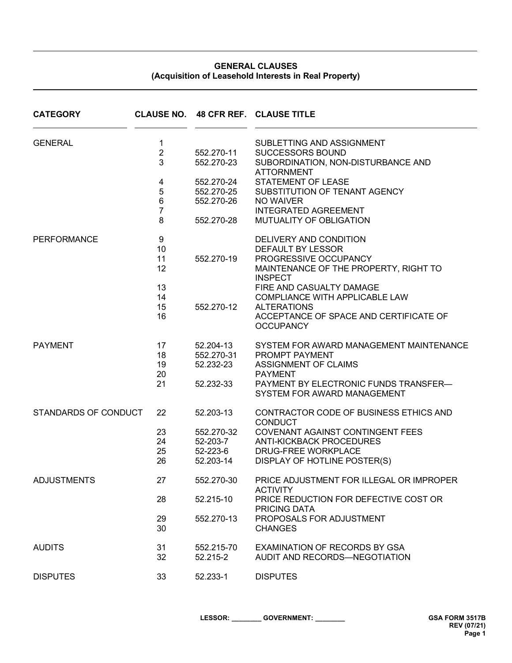## **GENERAL CLAUSES (Acquisition of Leasehold Interests in Real Property)**

| <b>CATEGORY</b>      |                |                        | CLAUSE NO. 48 CFR REF. CLAUSE TITLE                                  |
|----------------------|----------------|------------------------|----------------------------------------------------------------------|
| <b>GENERAL</b>       | 1              |                        | SUBLETTING AND ASSIGNMENT                                            |
|                      | $\overline{2}$ | 552.270-11             | <b>SUCCESSORS BOUND</b>                                              |
|                      | 3              | 552.270-23             | SUBORDINATION, NON-DISTURBANCE AND<br><b>ATTORNMENT</b>              |
|                      | 4              | 552.270-24             | <b>STATEMENT OF LEASE</b>                                            |
|                      | 5              | 552.270-25             | SUBSTITUTION OF TENANT AGENCY                                        |
|                      | 6              | 552.270-26             | NO WAIVER                                                            |
|                      | $\overline{7}$ |                        | <b>INTEGRATED AGREEMENT</b>                                          |
|                      | 8              | 552.270-28             | <b>MUTUALITY OF OBLIGATION</b>                                       |
| <b>PERFORMANCE</b>   | 9              |                        | DELIVERY AND CONDITION                                               |
|                      | 10             |                        | DEFAULT BY LESSOR                                                    |
|                      | 11             | 552.270-19             | PROGRESSIVE OCCUPANCY                                                |
|                      | 12             |                        | MAINTENANCE OF THE PROPERTY, RIGHT TO<br><b>INSPECT</b>              |
|                      | 13             |                        | FIRE AND CASUALTY DAMAGE                                             |
|                      | 14             |                        | COMPLIANCE WITH APPLICABLE LAW                                       |
|                      | 15             | 552.270-12             | <b>ALTERATIONS</b>                                                   |
|                      | 16             |                        | ACCEPTANCE OF SPACE AND CERTIFICATE OF<br><b>OCCUPANCY</b>           |
| <b>PAYMENT</b>       | 17             | 52.204-13              | SYSTEM FOR AWARD MANAGEMENT MAINTENANCE                              |
|                      | 18             | 552.270-31             | PROMPT PAYMENT                                                       |
|                      | 19             | 52.232-23              | ASSIGNMENT OF CLAIMS                                                 |
|                      | 20             |                        | <b>PAYMENT</b>                                                       |
|                      | 21             | 52.232-33              | PAYMENT BY ELECTRONIC FUNDS TRANSFER-<br>SYSTEM FOR AWARD MANAGEMENT |
| STANDARDS OF CONDUCT | 22             | 52.203-13              | CONTRACTOR CODE OF BUSINESS ETHICS AND<br><b>CONDUCT</b>             |
|                      | 23             | 552.270-32             | COVENANT AGAINST CONTINGENT FEES                                     |
|                      | 24             | 52-203-7               | <b>ANTI-KICKBACK PROCEDURES</b>                                      |
|                      | 25             | 52-223-6               | <b>DRUG-FREE WORKPLACE</b>                                           |
|                      | 26             | 52.203-14              | DISPLAY OF HOTLINE POSTER(S)                                         |
| <b>ADJUSTMENTS</b>   | 27             | 552.270-30             | PRICE ADJUSTMENT FOR ILLEGAL OR IMPROPER<br><b>ACTIVITY</b>          |
|                      | 28             | 52.215-10              | PRICE REDUCTION FOR DEFECTIVE COST OR<br><b>PRICING DATA</b>         |
|                      | 29<br>30       | 552.270-13             | PROPOSALS FOR ADJUSTMENT<br><b>CHANGES</b>                           |
| <b>AUDITS</b>        | 31<br>32       | 552.215-70<br>52.215-2 | EXAMINATION OF RECORDS BY GSA<br>AUDIT AND RECORDS-NEGOTIATION       |
| <b>DISPUTES</b>      | 33             | 52.233-1               | <b>DISPUTES</b>                                                      |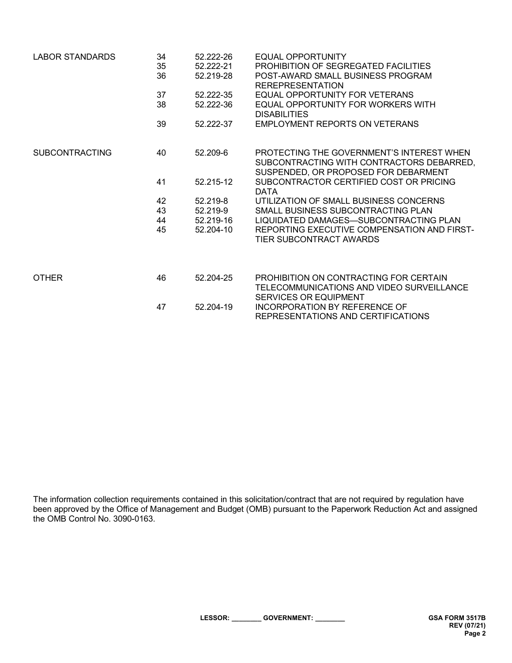| LABOR STANDARDS       | 34 | 52.222-26 | EQUAL OPPORTUNITY                                                                                                              |
|-----------------------|----|-----------|--------------------------------------------------------------------------------------------------------------------------------|
|                       | 35 | 52.222-21 | PROHIBITION OF SEGREGATED FACILITIES                                                                                           |
|                       | 36 | 52.219-28 | POST-AWARD SMALL BUSINESS PROGRAM<br><b>REREPRESENTATION</b>                                                                   |
|                       | 37 | 52.222-35 | EQUAL OPPORTUNITY FOR VETERANS                                                                                                 |
|                       | 38 | 52.222-36 | EQUAL OPPORTUNITY FOR WORKERS WITH<br><b>DISABILITIES</b>                                                                      |
|                       | 39 | 52.222-37 | <b>EMPLOYMENT REPORTS ON VETERANS</b>                                                                                          |
| <b>SUBCONTRACTING</b> | 40 | 52.209-6  | PROTECTING THE GOVERNMENT'S INTEREST WHEN<br>SUBCONTRACTING WITH CONTRACTORS DEBARRED,<br>SUSPENDED, OR PROPOSED FOR DEBARMENT |
|                       | 41 | 52.215-12 | SUBCONTRACTOR CERTIFIED COST OR PRICING<br><b>DATA</b>                                                                         |
|                       | 42 | 52.219-8  | UTILIZATION OF SMALL BUSINESS CONCERNS                                                                                         |
|                       | 43 | 52.219-9  | SMALL BUSINESS SUBCONTRACTING PLAN                                                                                             |
|                       | 44 | 52.219-16 | LIQUIDATED DAMAGES—SUBCONTRACTING PLAN                                                                                         |
|                       | 45 | 52.204-10 | REPORTING EXECUTIVE COMPENSATION AND FIRST-<br>TIER SUBCONTRACT AWARDS                                                         |
|                       |    |           |                                                                                                                                |
| <b>OTHER</b>          | 46 | 52.204-25 | PROHIBITION ON CONTRACTING FOR CERTAIN<br>TELECOMMUNICATIONS AND VIDEO SURVEILLANCE<br><b>SERVICES OR EQUIPMENT</b>            |
|                       | 47 | 52.204-19 | INCORPORATION BY REFERENCE OF<br>REPRESENTATIONS AND CERTIFICATIONS                                                            |

The information collection requirements contained in this solicitation/contract that are not required by regulation have been approved by the Office of Management and Budget (OMB) pursuant to the Paperwork Reduction Act and assigned the OMB Control No. 3090-0163.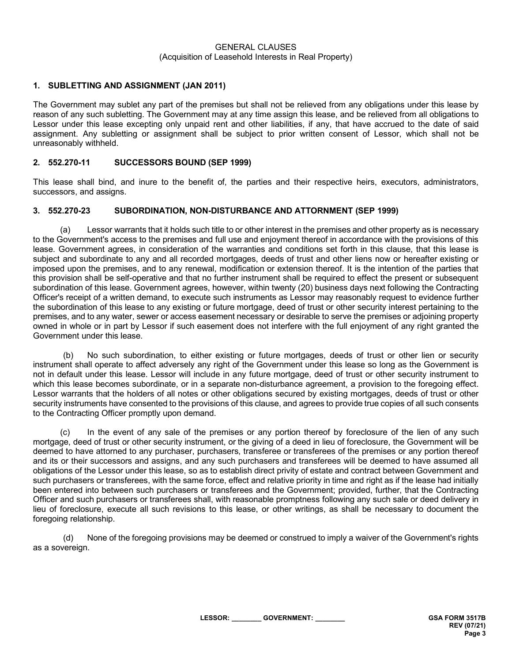#### GENERAL CLAUSES (Acquisition of Leasehold Interests in Real Property)

### **1. SUBLETTING AND ASSIGNMENT (JAN 2011)**

The Government may sublet any part of the premises but shall not be relieved from any obligations under this lease by reason of any such subletting. The Government may at any time assign this lease, and be relieved from all obligations to Lessor under this lease excepting only unpaid rent and other liabilities, if any, that have accrued to the date of said assignment. Any subletting or assignment shall be subject to prior written consent of Lessor, which shall not be unreasonably withheld.

### **2. 552.270-11 SUCCESSORS BOUND (SEP 1999)**

This lease shall bind, and inure to the benefit of, the parties and their respective heirs, executors, administrators, successors, and assigns.

#### **3. 552.270-23 SUBORDINATION, NON-DISTURBANCE AND ATTORNMENT (SEP 1999)**

(a) Lessor warrants that it holds such title to or other interest in the premises and other property as is necessary to the Government's access to the premises and full use and enjoyment thereof in accordance with the provisions of this lease. Government agrees, in consideration of the warranties and conditions set forth in this clause, that this lease is subject and subordinate to any and all recorded mortgages, deeds of trust and other liens now or hereafter existing or imposed upon the premises, and to any renewal, modification or extension thereof. It is the intention of the parties that this provision shall be self-operative and that no further instrument shall be required to effect the present or subsequent subordination of this lease. Government agrees, however, within twenty (20) business days next following the Contracting Officer's receipt of a written demand, to execute such instruments as Lessor may reasonably request to evidence further the subordination of this lease to any existing or future mortgage, deed of trust or other security interest pertaining to the premises, and to any water, sewer or access easement necessary or desirable to serve the premises or adjoining property owned in whole or in part by Lessor if such easement does not interfere with the full enjoyment of any right granted the Government under this lease.

(b) No such subordination, to either existing or future mortgages, deeds of trust or other lien or security instrument shall operate to affect adversely any right of the Government under this lease so long as the Government is not in default under this lease. Lessor will include in any future mortgage, deed of trust or other security instrument to which this lease becomes subordinate, or in a separate non-disturbance agreement, a provision to the foregoing effect. Lessor warrants that the holders of all notes or other obligations secured by existing mortgages, deeds of trust or other security instruments have consented to the provisions of this clause, and agrees to provide true copies of all such consents to the Contracting Officer promptly upon demand.

(c) In the event of any sale of the premises or any portion thereof by foreclosure of the lien of any such mortgage, deed of trust or other security instrument, or the giving of a deed in lieu of foreclosure, the Government will be deemed to have attorned to any purchaser, purchasers, transferee or transferees of the premises or any portion thereof and its or their successors and assigns, and any such purchasers and transferees will be deemed to have assumed all obligations of the Lessor under this lease, so as to establish direct privity of estate and contract between Government and such purchasers or transferees, with the same force, effect and relative priority in time and right as if the lease had initially been entered into between such purchasers or transferees and the Government; provided, further, that the Contracting Officer and such purchasers or transferees shall, with reasonable promptness following any such sale or deed delivery in lieu of foreclosure, execute all such revisions to this lease, or other writings, as shall be necessary to document the foregoing relationship.

(d) None of the foregoing provisions may be deemed or construed to imply a waiver of the Government's rights as a sovereign.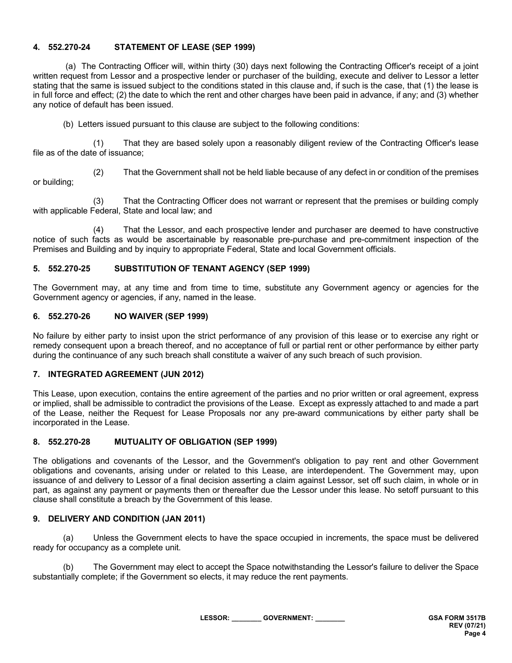### **4. 552.270-24 STATEMENT OF LEASE (SEP 1999)**

(a) The Contracting Officer will, within thirty (30) days next following the Contracting Officer's receipt of a joint written request from Lessor and a prospective lender or purchaser of the building, execute and deliver to Lessor a letter stating that the same is issued subject to the conditions stated in this clause and, if such is the case, that (1) the lease is in full force and effect; (2) the date to which the rent and other charges have been paid in advance, if any; and (3) whether any notice of default has been issued.

(b) Letters issued pursuant to this clause are subject to the following conditions:

(1) That they are based solely upon a reasonably diligent review of the Contracting Officer's lease file as of the date of issuance;

(2) That the Government shall not be held liable because of any defect in or condition of the premises or building;

(3) That the Contracting Officer does not warrant or represent that the premises or building comply with applicable Federal, State and local law; and

(4) That the Lessor, and each prospective lender and purchaser are deemed to have constructive notice of such facts as would be ascertainable by reasonable pre-purchase and pre-commitment inspection of the Premises and Building and by inquiry to appropriate Federal, State and local Government officials.

#### **5. 552.270-25 SUBSTITUTION OF TENANT AGENCY (SEP 1999)**

The Government may, at any time and from time to time, substitute any Government agency or agencies for the Government agency or agencies, if any, named in the lease.

#### **6. 552.270-26 NO WAIVER (SEP 1999)**

No failure by either party to insist upon the strict performance of any provision of this lease or to exercise any right or remedy consequent upon a breach thereof, and no acceptance of full or partial rent or other performance by either party during the continuance of any such breach shall constitute a waiver of any such breach of such provision.

#### **7. INTEGRATED AGREEMENT (JUN 2012)**

This Lease, upon execution, contains the entire agreement of the parties and no prior written or oral agreement, express or implied, shall be admissible to contradict the provisions of the Lease. Except as expressly attached to and made a part of the Lease, neither the Request for Lease Proposals nor any pre-award communications by either party shall be incorporated in the Lease.

### **8. 552.270-28 MUTUALITY OF OBLIGATION (SEP 1999)**

The obligations and covenants of the Lessor, and the Government's obligation to pay rent and other Government obligations and covenants, arising under or related to this Lease, are interdependent. The Government may, upon issuance of and delivery to Lessor of a final decision asserting a claim against Lessor, set off such claim, in whole or in part, as against any payment or payments then or thereafter due the Lessor under this lease. No setoff pursuant to this clause shall constitute a breach by the Government of this lease.

### **9. DELIVERY AND CONDITION (JAN 2011)**

(a) Unless the Government elects to have the space occupied in increments, the space must be delivered ready for occupancy as a complete unit.

(b) The Government may elect to accept the Space notwithstanding the Lessor's failure to deliver the Space substantially complete; if the Government so elects, it may reduce the rent payments.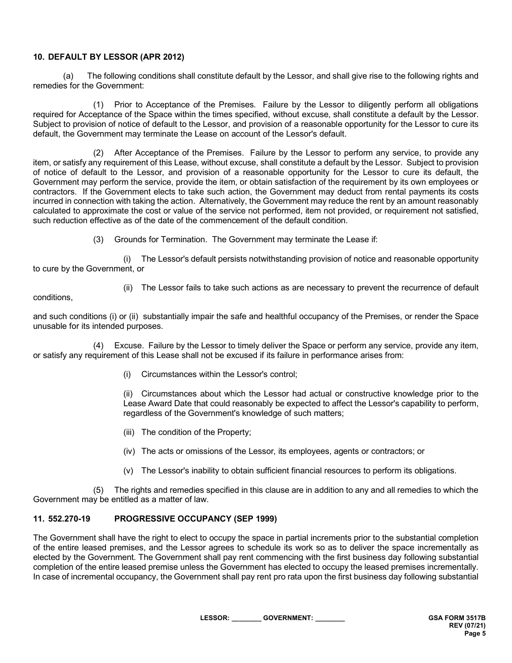### **10. DEFAULT BY LESSOR (APR 2012)**

(a) The following conditions shall constitute default by the Lessor, and shall give rise to the following rights and remedies for the Government:

(1) Prior to Acceptance of the Premises. Failure by the Lessor to diligently perform all obligations required for Acceptance of the Space within the times specified, without excuse, shall constitute a default by the Lessor. Subject to provision of notice of default to the Lessor, and provision of a reasonable opportunity for the Lessor to cure its default, the Government may terminate the Lease on account of the Lessor's default.

(2) After Acceptance of the Premises. Failure by the Lessor to perform any service, to provide any item, or satisfy any requirement of this Lease, without excuse, shall constitute a default by the Lessor. Subject to provision of notice of default to the Lessor, and provision of a reasonable opportunity for the Lessor to cure its default, the Government may perform the service, provide the item, or obtain satisfaction of the requirement by its own employees or contractors. If the Government elects to take such action, the Government may deduct from rental payments its costs incurred in connection with taking the action. Alternatively, the Government may reduce the rent by an amount reasonably calculated to approximate the cost or value of the service not performed, item not provided, or requirement not satisfied, such reduction effective as of the date of the commencement of the default condition.

(3) Grounds for Termination. The Government may terminate the Lease if:

(i) The Lessor's default persists notwithstanding provision of notice and reasonable opportunity to cure by the Government, or

conditions,

(ii) The Lessor fails to take such actions as are necessary to prevent the recurrence of default

and such conditions (i) or (ii) substantially impair the safe and healthful occupancy of the Premises, or render the Space unusable for its intended purposes.

(4) Excuse. Failure by the Lessor to timely deliver the Space or perform any service, provide any item, or satisfy any requirement of this Lease shall not be excused if its failure in performance arises from:

(i) Circumstances within the Lessor's control;

(ii) Circumstances about which the Lessor had actual or constructive knowledge prior to the Lease Award Date that could reasonably be expected to affect the Lessor's capability to perform, regardless of the Government's knowledge of such matters;

- (iii) The condition of the Property;
- (iv) The acts or omissions of the Lessor, its employees, agents or contractors; or
- (v) The Lessor's inability to obtain sufficient financial resources to perform its obligations.

(5) The rights and remedies specified in this clause are in addition to any and all remedies to which the Government may be entitled as a matter of law.

### **11. 552.270-19 PROGRESSIVE OCCUPANCY (SEP 1999)**

The Government shall have the right to elect to occupy the space in partial increments prior to the substantial completion of the entire leased premises, and the Lessor agrees to schedule its work so as to deliver the space incrementally as elected by the Government. The Government shall pay rent commencing with the first business day following substantial completion of the entire leased premise unless the Government has elected to occupy the leased premises incrementally. In case of incremental occupancy, the Government shall pay rent pro rata upon the first business day following substantial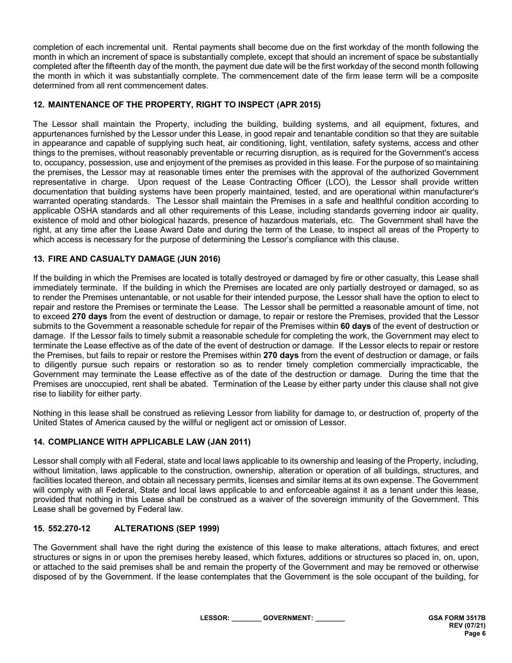completion of each incremental unit. Rental payments shall become due on the first workday of the month following the month in which an increment of space is substantially complete, except that should an increment of space be substantially completed after the fifteenth day of the month, the payment due date will be the first workday of the second month following the month in which it was substantially complete. The commencement date of the firm lease term will be a composite determined from all rent commencement dates.

## **12. MAINTENANCE OF THE PROPERTY, RIGHT TO INSPECT (APR 2015)**

The Lessor shall maintain the Property, including the building, building systems, and all equipment, fixtures, and appurtenances furnished by the Lessor under this Lease, in good repair and tenantable condition so that they are suitable in appearance and capable of supplying such heat, air conditioning, light, ventilation, safety systems, access and other things to the premises, without reasonably preventable or recurring disruption, as is required for the Government's access to, occupancy, possession, use and enjoyment of the premises as provided in this lease. For the purpose of so maintaining the premises, the Lessor may at reasonable times enter the premises with the approval of the authorized Government representative in charge. Upon request of the Lease Contracting Officer (LCO), the Lessor shall provide written documentation that building systems have been properly maintained, tested, and are operational within manufacturer's warranted operating standards. The Lessor shall maintain the Premises in a safe and healthful condition according to applicable OSHA standards and all other requirements of this Lease, including standards governing indoor air quality, existence of mold and other biological hazards, presence of hazardous materials, etc. The Government shall have the right, at any time after the Lease Award Date and during the term of the Lease, to inspect all areas of the Property to which access is necessary for the purpose of determining the Lessor's compliance with this clause.

## **13. FIRE AND CASUALTY DAMAGE (JUN 2016)**

If the building in which the Premises are located is totally destroyed or damaged by fire or other casualty, this Lease shall immediately terminate. If the building in which the Premises are located are only partially destroyed or damaged, so as to render the Premises untenantable, or not usable for their intended purpose, the Lessor shall have the option to elect to repair and restore the Premises or terminate the Lease. The Lessor shall be permitted a reasonable amount of time, not to exceed **270 days** from the event of destruction or damage, to repair or restore the Premises, provided that the Lessor submits to the Government a reasonable schedule for repair of the Premises within **60 days** of the event of destruction or damage. If the Lessor fails to timely submit a reasonable schedule for completing the work, the Government may elect to terminate the Lease effective as of the date of the event of destruction or damage. If the Lessor elects to repair or restore the Premises, but fails to repair or restore the Premises within **270 days** from the event of destruction or damage, or fails to diligently pursue such repairs or restoration so as to render timely completion commercially impracticable, the Government may terminate the Lease effective as of the date of the destruction or damage. During the time that the Premises are unoccupied, rent shall be abated. Termination of the Lease by either party under this clause shall not give rise to liability for either party.

Nothing in this lease shall be construed as relieving Lessor from liability for damage to, or destruction of, property of the United States of America caused by the willful or negligent act or omission of Lessor.

## **14. COMPLIANCE WITH APPLICABLE LAW (JAN 2011)**

Lessor shall comply with all Federal, state and local laws applicable to its ownership and leasing of the Property, including, without limitation, laws applicable to the construction, ownership, alteration or operation of all buildings, structures, and facilities located thereon, and obtain all necessary permits, licenses and similar items at its own expense. The Government will comply with all Federal, State and local laws applicable to and enforceable against it as a tenant under this lease, provided that nothing in this Lease shall be construed as a waiver of the sovereign immunity of the Government. This Lease shall be governed by Federal law.

### **15. 552.270-12 ALTERATIONS (SEP 1999)**

The Government shall have the right during the existence of this lease to make alterations, attach fixtures, and erect structures or signs in or upon the premises hereby leased, which fixtures, additions or structures so placed in, on, upon, or attached to the said premises shall be and remain the property of the Government and may be removed or otherwise disposed of by the Government. If the lease contemplates that the Government is the sole occupant of the building, for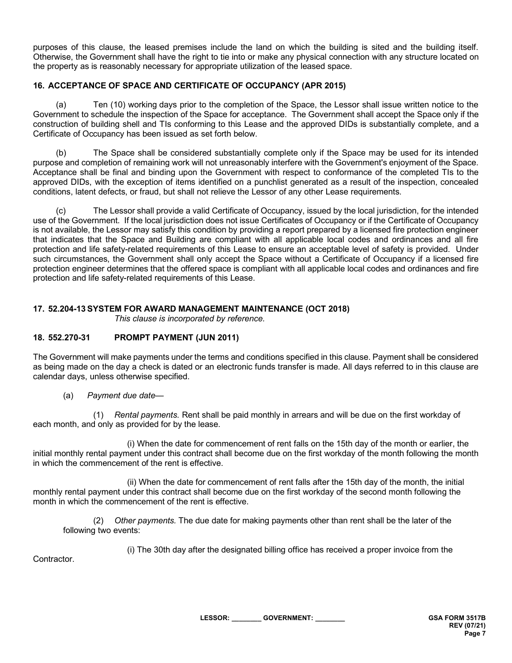purposes of this clause, the leased premises include the land on which the building is sited and the building itself. Otherwise, the Government shall have the right to tie into or make any physical connection with any structure located on the property as is reasonably necessary for appropriate utilization of the leased space.

## **16. ACCEPTANCE OF SPACE AND CERTIFICATE OF OCCUPANCY (APR 2015)**

(a) Ten (10) working days prior to the completion of the Space, the Lessor shall issue written notice to the Government to schedule the inspection of the Space for acceptance. The Government shall accept the Space only if the construction of building shell and TIs conforming to this Lease and the approved DIDs is substantially complete, and a Certificate of Occupancy has been issued as set forth below.

(b) The Space shall be considered substantially complete only if the Space may be used for its intended purpose and completion of remaining work will not unreasonably interfere with the Government's enjoyment of the Space. Acceptance shall be final and binding upon the Government with respect to conformance of the completed TIs to the approved DIDs, with the exception of items identified on a punchlist generated as a result of the inspection, concealed conditions, latent defects, or fraud, but shall not relieve the Lessor of any other Lease requirements.

(c) The Lessor shall provide a valid Certificate of Occupancy, issued by the local jurisdiction, for the intended use of the Government. If the local jurisdiction does not issue Certificates of Occupancy or if the Certificate of Occupancy is not available, the Lessor may satisfy this condition by providing a report prepared by a licensed fire protection engineer that indicates that the Space and Building are compliant with all applicable local codes and ordinances and all fire protection and life safety-related requirements of this Lease to ensure an acceptable level of safety is provided. Under such circumstances, the Government shall only accept the Space without a Certificate of Occupancy if a licensed fire protection engineer determines that the offered space is compliant with all applicable local codes and ordinances and fire protection and life safety-related requirements of this Lease.

## **17. 52.204-13 SYSTEM FOR AWARD MANAGEMENT MAINTENANCE (OCT 2018)**

*This clause is incorporated by reference.*

### **18. 552.270-31 PROMPT PAYMENT (JUN 2011)**

The Government will make payments under the terms and conditions specified in this clause. Payment shall be considered as being made on the day a check is dated or an electronic funds transfer is made. All days referred to in this clause are calendar days, unless otherwise specified.

(a) *Payment due date*—

(1) *Rental payments.* Rent shall be paid monthly in arrears and will be due on the first workday of each month, and only as provided for by the lease.

(i) When the date for commencement of rent falls on the 15th day of the month or earlier, the initial monthly rental payment under this contract shall become due on the first workday of the month following the month in which the commencement of the rent is effective.

(ii) When the date for commencement of rent falls after the 15th day of the month, the initial monthly rental payment under this contract shall become due on the first workday of the second month following the month in which the commencement of the rent is effective.

(2) *Other payments.* The due date for making payments other than rent shall be the later of the following two events:

(i) The 30th day after the designated billing office has received a proper invoice from the

**Contractor**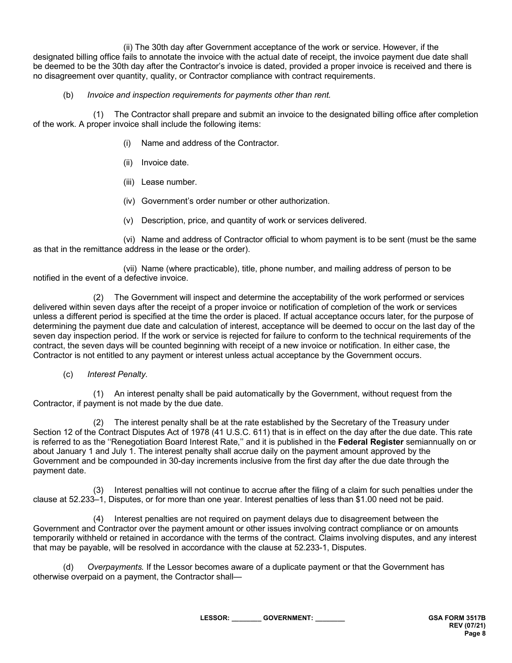(ii) The 30th day after Government acceptance of the work or service. However, if the designated billing office fails to annotate the invoice with the actual date of receipt, the invoice payment due date shall be deemed to be the 30th day after the Contractor's invoice is dated, provided a proper invoice is received and there is no disagreement over quantity, quality, or Contractor compliance with contract requirements.

### (b) *Invoice and inspection requirements for payments other than rent.*

(1) The Contractor shall prepare and submit an invoice to the designated billing office after completion of the work. A proper invoice shall include the following items:

- (i) Name and address of the Contractor.
- (ii) Invoice date.
- (iii) Lease number.
- (iv) Government's order number or other authorization.
- (v) Description, price, and quantity of work or services delivered.

(vi) Name and address of Contractor official to whom payment is to be sent (must be the same as that in the remittance address in the lease or the order).

(vii) Name (where practicable), title, phone number, and mailing address of person to be notified in the event of a defective invoice.

(2) The Government will inspect and determine the acceptability of the work performed or services delivered within seven days after the receipt of a proper invoice or notification of completion of the work or services unless a different period is specified at the time the order is placed. If actual acceptance occurs later, for the purpose of determining the payment due date and calculation of interest, acceptance will be deemed to occur on the last day of the seven day inspection period. If the work or service is rejected for failure to conform to the technical requirements of the contract, the seven days will be counted beginning with receipt of a new invoice or notification. In either case, the Contractor is not entitled to any payment or interest unless actual acceptance by the Government occurs.

### (c) *Interest Penalty.*

(1) An interest penalty shall be paid automatically by the Government, without request from the Contractor, if payment is not made by the due date.

(2) The interest penalty shall be at the rate established by the Secretary of the Treasury under Section 12 of the Contract Disputes Act of 1978 (41 U.S.C. 611) that is in effect on the day after the due date. This rate is referred to as the ''Renegotiation Board Interest Rate,'' and it is published in the **Federal Register** semiannually on or about January 1 and July 1. The interest penalty shall accrue daily on the payment amount approved by the Government and be compounded in 30-day increments inclusive from the first day after the due date through the payment date.

(3) Interest penalties will not continue to accrue after the filing of a claim for such penalties under the clause at 52.233–1, Disputes, or for more than one year. Interest penalties of less than \$1.00 need not be paid.

(4) Interest penalties are not required on payment delays due to disagreement between the Government and Contractor over the payment amount or other issues involving contract compliance or on amounts temporarily withheld or retained in accordance with the terms of the contract. Claims involving disputes, and any interest that may be payable, will be resolved in accordance with the clause at 52.233-1, Disputes.

(d) *Overpayments.* If the Lessor becomes aware of a duplicate payment or that the Government has otherwise overpaid on a payment, the Contractor shall—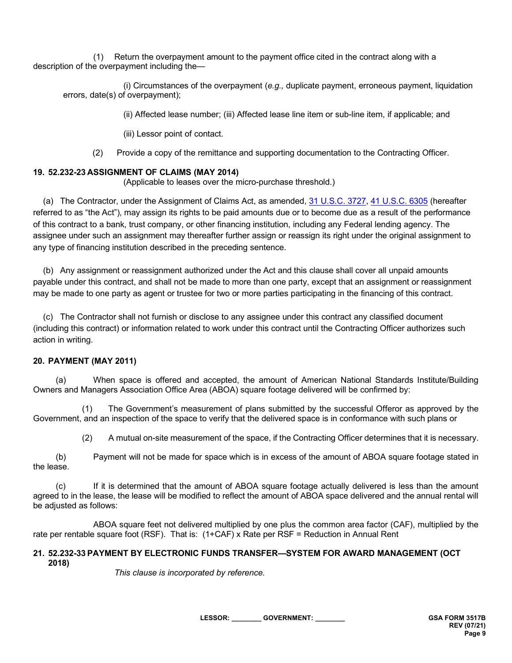(1) Return the overpayment amount to the payment office cited in the contract along with a description of the overpayment including the—

(i) Circumstances of the overpayment (*e.g.,* duplicate payment, erroneous payment, liquidation errors, date(s) of overpayment);

(ii) Affected lease number; (iii) Affected lease line item or sub-line item, if applicable; and

(iii) Lessor point of contact.

(2) Provide a copy of the remittance and supporting documentation to the Contracting Officer.

#### **19. 52.232-23 ASSIGNMENT OF CLAIMS (MAY 2014)**

(Applicable to leases over the micro-purchase threshold.)

(a) The Contractor, under the Assignment of Claims Act, as amended, [31 U.S.C. 3727,](http://uscode.house.gov/uscode-cgi/fastweb.exe?getdoc+uscview+t29t32+1665+30++%2831%29%20%20AND%20%28%2831%29%20ADJ%20USC%29%3ACITE%20%20%20%20%20%20%20%20%20) 41 [U.S.C. 6305](http://uscode.house.gov/) (hereafter referred to as "the Act"), may assign its rights to be paid amounts due or to become due as a result of the performance of this contract to a bank, trust company, or other financing institution, including any Federal lending agency. The assignee under such an assignment may thereafter further assign or reassign its right under the original assignment to any type of financing institution described in the preceding sentence.

(b) Any assignment or reassignment authorized under the Act and this clause shall cover all unpaid amounts payable under this contract, and shall not be made to more than one party, except that an assignment or reassignment may be made to one party as agent or trustee for two or more parties participating in the financing of this contract.

(c) The Contractor shall not furnish or disclose to any assignee under this contract any classified document (including this contract) or information related to work under this contract until the Contracting Officer authorizes such action in writing.

#### **20. PAYMENT (MAY 2011)**

(a) When space is offered and accepted, the amount of American National Standards Institute/Building Owners and Managers Association Office Area (ABOA) square footage delivered will be confirmed by:

(1) The Government's measurement of plans submitted by the successful Offeror as approved by the Government, and an inspection of the space to verify that the delivered space is in conformance with such plans or

(2) A mutual on-site measurement of the space, if the Contracting Officer determines that it is necessary.

(b) Payment will not be made for space which is in excess of the amount of ABOA square footage stated in the lease.

(c) If it is determined that the amount of ABOA square footage actually delivered is less than the amount agreed to in the lease, the lease will be modified to reflect the amount of ABOA space delivered and the annual rental will be adjusted as follows:

ABOA square feet not delivered multiplied by one plus the common area factor (CAF), multiplied by the rate per rentable square foot (RSF). That is: (1+CAF) x Rate per RSF = Reduction in Annual Rent

#### **21. 52.232-33 PAYMENT BY ELECTRONIC FUNDS TRANSFER—SYSTEM FOR AWARD MANAGEMENT (OCT 2018)**

*This clause is incorporated by reference.*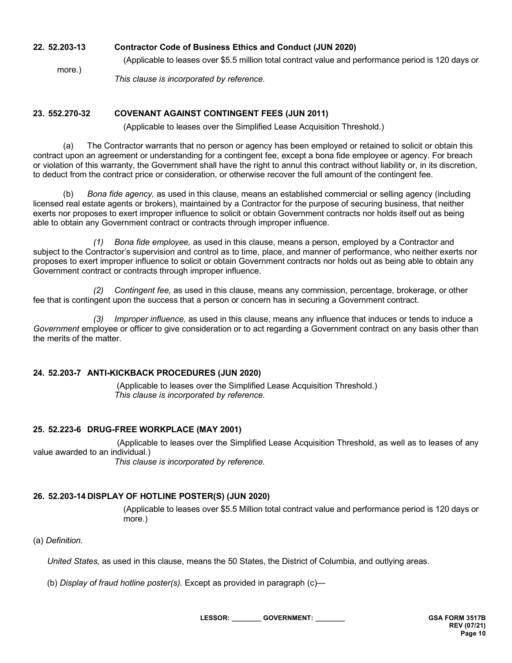### **22. 52.203-13 Contractor Code of Business Ethics and Conduct (JUN 2020)**

(Applicable to leases over \$5.5 million total contract value and performance period is 120 days or

*This clause is incorporated by reference.*

### **23. 552.270-32 COVENANT AGAINST CONTINGENT FEES (JUN 2011)**

(Applicable to leases over the Simplified Lease Acquisition Threshold.)

(a) The Contractor warrants that no person or agency has been employed or retained to solicit or obtain this contract upon an agreement or understanding for a contingent fee, except a bona fide employee or agency. For breach or violation of this warranty, the Government shall have the right to annul this contract without liability or, in its discretion, to deduct from the contract price or consideration, or otherwise recover the full amount of the contingent fee.

(b) *Bona fide agency,* as used in this clause, means an established commercial or selling agency (including licensed real estate agents or brokers), maintained by a Contractor for the purpose of securing business, that neither exerts nor proposes to exert improper influence to solicit or obtain Government contracts nor holds itself out as being able to obtain any Government contract or contracts through improper influence.

*(1) Bona fide employee,* as used in this clause, means a person, employed by a Contractor and subject to the Contractor's supervision and control as to time, place, and manner of performance, who neither exerts nor proposes to exert improper influence to solicit or obtain Government contracts nor holds out as being able to obtain any Government contract or contracts through improper influence.

*(2) Contingent fee,* as used in this clause, means any commission, percentage, brokerage, or other fee that is contingent upon the success that a person or concern has in securing a Government contract.

*(3) Improper influence,* as used in this clause, means any influence that induces or tends to induce a *Government* employee or officer to give consideration or to act regarding a Government contract on any basis other than the merits of the matter.

### **24. 52.203-7 ANTI-KICKBACK PROCEDURES (JUN 2020)**

 (Applicable to leases over the Simplified Lease Acquisition Threshold.) *This clause is incorporated by reference.*

### **25. 52.223-6 DRUG-FREE WORKPLACE (MAY 2001)**

(Applicable to leases over the Simplified Lease Acquisition Threshold, as well as to leases of any value awarded to an individual.)

*This clause is incorporated by reference.*

### **26. 52.203-14 DISPLAY OF HOTLINE POSTER(S) (JUN 2020)**

(Applicable to leases over \$5.5 Million total contract value and performance period is 120 days or more.)

(a) *Definition.*

more.)

*United States,* as used in this clause, means the 50 States, the District of Columbia, and outlying areas.

(b) *Display of fraud hotline poster(s).* Except as provided in paragraph (c)—

**LESSOR: \_\_\_\_\_\_\_\_ GOVERNMENT: \_\_\_\_\_\_\_\_ GSA FORM 3517B**

**REV (07/21) Page 10**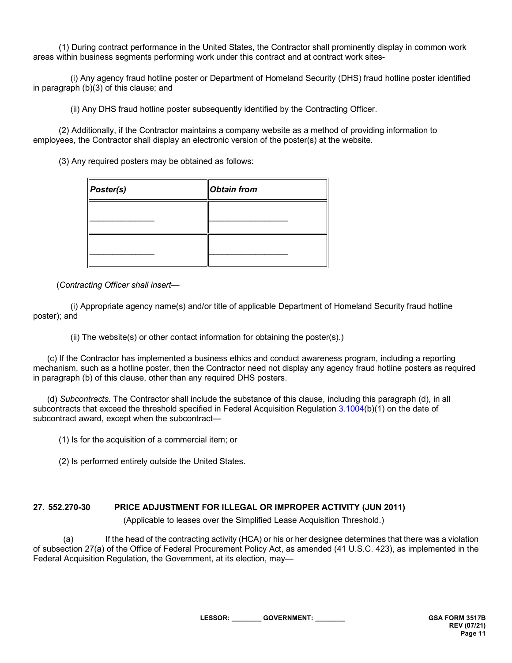(1) During contract performance in the United States, the Contractor shall prominently display in common work areas within business segments performing work under this contract and at contract work sites-

 (i) Any agency fraud hotline poster or Department of Homeland Security (DHS) fraud hotline poster identified in paragraph (b)(3) of this clause; and

(ii) Any DHS fraud hotline poster subsequently identified by the Contracting Officer.

 (2) Additionally, if the Contractor maintains a company website as a method of providing information to employees, the Contractor shall display an electronic version of the poster(s) at the website.

(3) Any required posters may be obtained as follows:

| Poster(s) | <b>Obtain from</b> |
|-----------|--------------------|
|           |                    |
|           |                    |
|           |                    |

(*Contracting Officer shall insert—*

 (i) Appropriate agency name(s) and/or title of applicable Department of Homeland Security fraud hotline poster); and

(ii) The website(s) or other contact information for obtaining the poster(s).)

 (c) If the Contractor has implemented a business ethics and conduct awareness program, including a reporting mechanism, such as a hotline poster, then the Contractor need not display any agency fraud hotline posters as required in paragraph (b) of this clause, other than any required DHS posters.

 (d) *Subcontracts.* The Contractor shall include the substance of this clause, including this paragraph (d), in all subcontracts that exceed the threshold specified in Federal Acquisition Regulation [3.1004\(](https://www.acquisition.gov/content/part-3-improper-business-practices-and-personal-conflicts-interest#i1123740)b)(1) on the date of subcontract award, except when the subcontract—

(1) Is for the acquisition of a commercial item; or

(2) Is performed entirely outside the United States.

## **27. 552.270-30 PRICE ADJUSTMENT FOR ILLEGAL OR IMPROPER ACTIVITY (JUN 2011)**

(Applicable to leases over the Simplified Lease Acquisition Threshold.)

(a) If the head of the contracting activity (HCA) or his or her designee determines that there was a violation of subsection 27(a) of the Office of Federal Procurement Policy Act, as amended (41 U.S.C. 423), as implemented in the Federal Acquisition Regulation, the Government, at its election, may—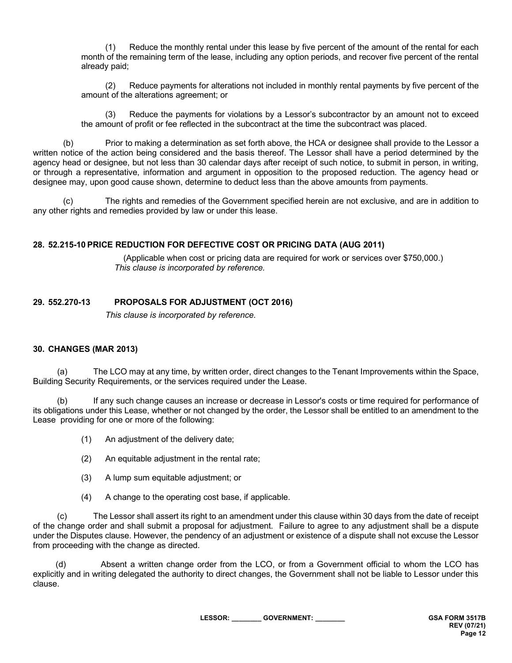(1) Reduce the monthly rental under this lease by five percent of the amount of the rental for each month of the remaining term of the lease, including any option periods, and recover five percent of the rental already paid;

(2) Reduce payments for alterations not included in monthly rental payments by five percent of the amount of the alterations agreement; or

(3) Reduce the payments for violations by a Lessor's subcontractor by an amount not to exceed the amount of profit or fee reflected in the subcontract at the time the subcontract was placed.

(b) Prior to making a determination as set forth above, the HCA or designee shall provide to the Lessor a written notice of the action being considered and the basis thereof. The Lessor shall have a period determined by the agency head or designee, but not less than 30 calendar days after receipt of such notice, to submit in person, in writing, or through a representative, information and argument in opposition to the proposed reduction. The agency head or designee may, upon good cause shown, determine to deduct less than the above amounts from payments.

(c) The rights and remedies of the Government specified herein are not exclusive, and are in addition to any other rights and remedies provided by law or under this lease.

#### **28. 52.215-10 PRICE REDUCTION FOR DEFECTIVE COST OR PRICING DATA (AUG 2011)**

(Applicable when cost or pricing data are required for work or services over \$750,000.) *This clause is incorporated by reference.*

### **29. 552.270-13 PROPOSALS FOR ADJUSTMENT (OCT 2016)**

*This clause is incorporated by reference.*

#### **30. CHANGES (MAR 2013)**

(a) The LCO may at any time, by written order, direct changes to the Tenant Improvements within the Space, Building Security Requirements, or the services required under the Lease.

(b) If any such change causes an increase or decrease in Lessor's costs or time required for performance of its obligations under this Lease, whether or not changed by the order, the Lessor shall be entitled to an amendment to the Lease providing for one or more of the following:

- (1) An adjustment of the delivery date;
- (2) An equitable adjustment in the rental rate;
- (3) A lump sum equitable adjustment; or
- (4) A change to the operating cost base, if applicable.

(c) The Lessor shall assert its right to an amendment under this clause within 30 days from the date of receipt of the change order and shall submit a proposal for adjustment. Failure to agree to any adjustment shall be a dispute under the Disputes clause. However, the pendency of an adjustment or existence of a dispute shall not excuse the Lessor from proceeding with the change as directed.

(d) Absent a written change order from the LCO, or from a Government official to whom the LCO has explicitly and in writing delegated the authority to direct changes, the Government shall not be liable to Lessor under this clause.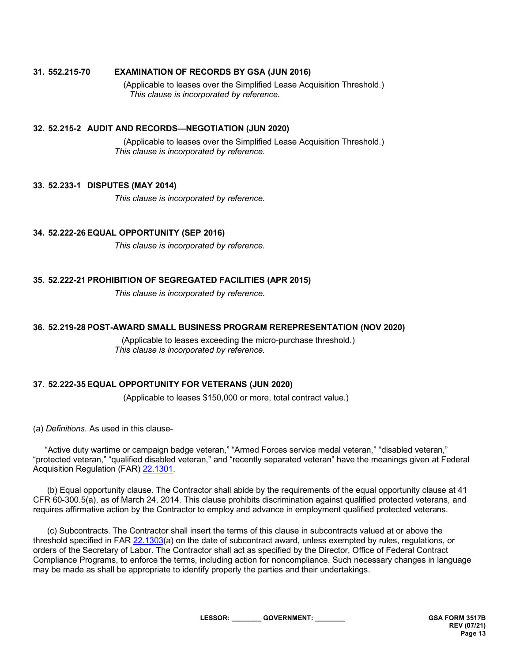#### **31. 552.215-70 EXAMINATION OF RECORDS BY GSA (JUN 2016)**

(Applicable to leases over the Simplified Lease Acquisition Threshold.) *This clause is incorporated by reference.*

#### **32. 52.215-2 AUDIT AND RECORDS—NEGOTIATION (JUN 2020)**

(Applicable to leases over the Simplified Lease Acquisition Threshold.) *This clause is incorporated by reference.*

#### **33. 52.233-1 DISPUTES (MAY 2014)**

*This clause is incorporated by reference.*

#### **34. 52.222-26 EQUAL OPPORTUNITY (SEP 2016)**

*This clause is incorporated by reference.*

#### **35. 52.222-21 PROHIBITION OF SEGREGATED FACILITIES (APR 2015)**

*This clause is incorporated by reference.*

#### **36. 52.219-28 POST-AWARD SMALL BUSINESS PROGRAM REREPRESENTATION (NOV 2020)**

 (Applicable to leases exceeding the micro-purchase threshold.) *This clause is incorporated by reference.*

#### **37. 52.222-35 EQUAL OPPORTUNITY FOR VETERANS (JUN 2020)**

(Applicable to leases \$150,000 or more, total contract value.)

(a) *Definitions*. As used in this clause-

 "Active duty wartime or campaign badge veteran," "Armed Forces service medal veteran," "disabled veteran," "protected veteran," "qualified disabled veteran," and "recently separated veteran" have the meanings given at Federal Acquisition Regulation (FAR) [22.1301.](https://www.acquisition.gov/content/part-22-application-labor-laws-government-acquisitions#i1096035)

 (b) Equal opportunity clause. The Contractor shall abide by the requirements of the equal opportunity clause at 41 CFR 60-300.5(a), as of March 24, 2014. This clause prohibits discrimination against qualified protected veterans, and requires affirmative action by the Contractor to employ and advance in employment qualified protected veterans.

 (c) Subcontracts. The Contractor shall insert the terms of this clause in subcontracts valued at or above the threshold specified in FAR [22.1303\(](https://www.acquisition.gov/content/part-22-application-labor-laws-government-acquisitions#id1617MD05061)a) on the date of subcontract award, unless exempted by rules, regulations, or orders of the Secretary of Labor. The Contractor shall act as specified by the Director, Office of Federal Contract Compliance Programs, to enforce the terms, including action for noncompliance. Such necessary changes in language may be made as shall be appropriate to identify properly the parties and their undertakings.

**LESSOR: \_\_\_\_\_\_\_\_ GOVERNMENT: \_\_\_\_\_\_\_\_ GSA FORM 3517B**

**REV (07/21) Page 13**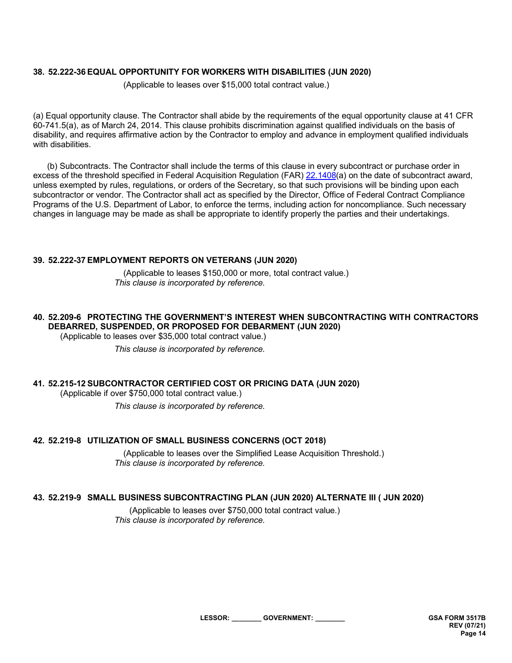### **38. 52.222-36 EQUAL OPPORTUNITY FOR WORKERS WITH DISABILITIES (JUN 2020)**

(Applicable to leases over \$15,000 total contract value.)

(a) Equal opportunity clause. The Contractor shall abide by the requirements of the equal opportunity clause at 41 CFR 60-741.5(a), as of March 24, 2014. This clause prohibits discrimination against qualified individuals on the basis of disability, and requires affirmative action by the Contractor to employ and advance in employment qualified individuals with disabilities.

 (b) Subcontracts. The Contractor shall include the terms of this clause in every subcontract or purchase order in excess of the threshold specified in Federal Acquisition Regulation (FAR) [22.1408\(](https://www.acquisition.gov/content/part-22-application-labor-laws-government-acquisitions#i1095976)a) on the date of subcontract award, unless exempted by rules, regulations, or orders of the Secretary, so that such provisions will be binding upon each subcontractor or vendor. The Contractor shall act as specified by the Director, Office of Federal Contract Compliance Programs of the U.S. Department of Labor, to enforce the terms, including action for noncompliance. Such necessary changes in language may be made as shall be appropriate to identify properly the parties and their undertakings.

#### **39. 52.222-37 EMPLOYMENT REPORTS ON VETERANS (JUN 2020)**

(Applicable to leases \$150,000 or more, total contract value.) *This clause is incorporated by reference.*

## **40. 52.209-6 PROTECTING THE GOVERNMENT'S INTEREST WHEN SUBCONTRACTING WITH CONTRACTORS DEBARRED, SUSPENDED, OR PROPOSED FOR DEBARMENT (JUN 2020)**

(Applicable to leases over \$35,000 total contract value.)

*This clause is incorporated by reference.*

# **41. 52.215-12 SUBCONTRACTOR CERTIFIED COST OR PRICING DATA (JUN 2020)**

(Applicable if over \$750,000 total contract value.)

*This clause is incorporated by reference.*

### **42. 52.219-8 UTILIZATION OF SMALL BUSINESS CONCERNS (OCT 2018)**

(Applicable to leases over the Simplified Lease Acquisition Threshold.) *This clause is incorporated by reference.*

# **43. 52.219-9 SMALL BUSINESS SUBCONTRACTING PLAN (JUN 2020) ALTERNATE III ( JUN 2020)**

(Applicable to leases over \$750,000 total contract value.) *This clause is incorporated by reference.*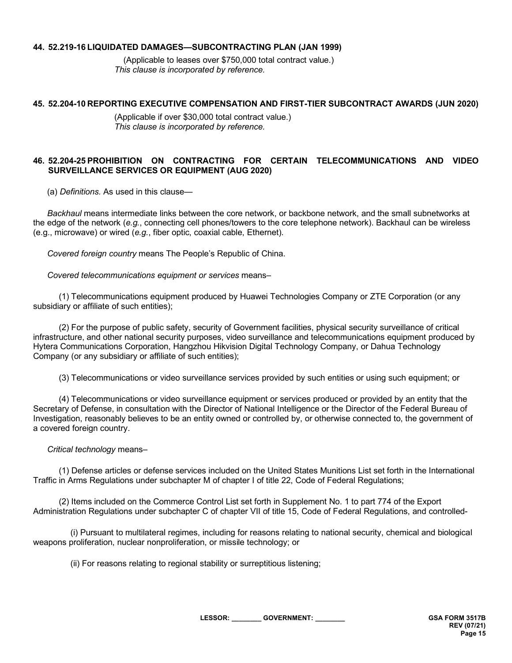### **44. 52.219-16 LIQUIDATED DAMAGES—SUBCONTRACTING PLAN (JAN 1999)**

(Applicable to leases over \$750,000 total contract value.) *This clause is incorporated by reference.*

### **45. 52.204-10 REPORTING EXECUTIVE COMPENSATION AND FIRST-TIER SUBCONTRACT AWARDS (JUN 2020)**

(Applicable if over \$30,000 total contract value.) *This clause is incorporated by reference.*

### **46. 52.204-25 PROHIBITION ON CONTRACTING FOR CERTAIN TELECOMMUNICATIONS AND VIDEO SURVEILLANCE SERVICES OR EQUIPMENT (AUG 2020)**

(a) *Definitions.* As used in this clause—

 *Backhaul* means intermediate links between the core network, or backbone network, and the small subnetworks at the edge of the network (*e.g.*, connecting cell phones/towers to the core telephone network). Backhaul can be wireless (e.g., microwave) or wired (*e.g.*, fiber optic, coaxial cable, Ethernet).

*Covered foreign country* means The People's Republic of China.

*Covered telecommunications equipment or services* means–

 (1) Telecommunications equipment produced by Huawei Technologies Company or ZTE Corporation (or any subsidiary or affiliate of such entities);

 (2) For the purpose of public safety, security of Government facilities, physical security surveillance of critical infrastructure, and other national security purposes, video surveillance and telecommunications equipment produced by Hytera Communications Corporation, Hangzhou Hikvision Digital Technology Company, or Dahua Technology Company (or any subsidiary or affiliate of such entities);

(3) Telecommunications or video surveillance services provided by such entities or using such equipment; or

 (4) Telecommunications or video surveillance equipment or services produced or provided by an entity that the Secretary of Defense, in consultation with the Director of National Intelligence or the Director of the Federal Bureau of Investigation, reasonably believes to be an entity owned or controlled by, or otherwise connected to, the government of a covered foreign country.

### *Critical technology* means–

 (1) Defense articles or defense services included on the United States Munitions List set forth in the International Traffic in Arms Regulations under subchapter M of chapter I of title 22, Code of Federal Regulations;

 (2) Items included on the Commerce Control List set forth in Supplement No. 1 to part 774 of the Export Administration Regulations under subchapter C of chapter VII of title 15, Code of Federal Regulations, and controlled-

 (i) Pursuant to multilateral regimes, including for reasons relating to national security, chemical and biological weapons proliferation, nuclear nonproliferation, or missile technology; or

(ii) For reasons relating to regional stability or surreptitious listening;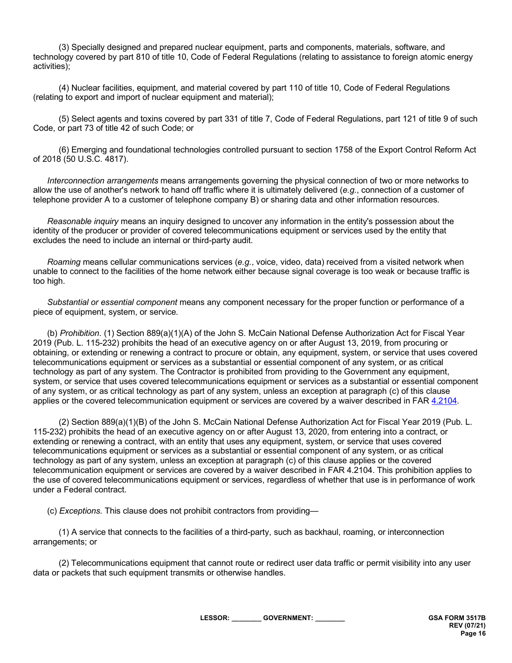(3) Specially designed and prepared nuclear equipment, parts and components, materials, software, and technology covered by part 810 of title 10, Code of Federal Regulations (relating to assistance to foreign atomic energy activities);

 (4) Nuclear facilities, equipment, and material covered by part 110 of title 10, Code of Federal Regulations (relating to export and import of nuclear equipment and material);

 (5) Select agents and toxins covered by part 331 of title 7, Code of Federal Regulations, part 121 of title 9 of such Code, or part 73 of title 42 of such Code; or

 (6) Emerging and foundational technologies controlled pursuant to section 1758 of the Export Control Reform Act of 2018 (50 U.S.C. 4817).

 *Interconnection arrangements* means arrangements governing the physical connection of two or more networks to allow the use of another's network to hand off traffic where it is ultimately delivered (*e.g.*, connection of a customer of telephone provider A to a customer of telephone company B) or sharing data and other information resources.

 *Reasonable inquiry* means an inquiry designed to uncover any information in the entity's possession about the identity of the producer or provider of covered telecommunications equipment or services used by the entity that excludes the need to include an internal or third-party audit.

 *Roaming* means cellular communications services (*e.g.*, voice, video, data) received from a visited network when unable to connect to the facilities of the home network either because signal coverage is too weak or because traffic is too high.

 *Substantial or essential component* means any component necessary for the proper function or performance of a piece of equipment, system, or service.

 (b) *Prohibition*. (1) Section 889(a)(1)(A) of the John S. McCain National Defense Authorization Act for Fiscal Year 2019 (Pub. L. 115-232) prohibits the head of an executive agency on or after August 13, 2019, from procuring or obtaining, or extending or renewing a contract to procure or obtain, any equipment, system, or service that uses covered telecommunications equipment or services as a substantial or essential component of any system, or as critical technology as part of any system. The Contractor is prohibited from providing to the Government any equipment, system, or service that uses covered telecommunications equipment or services as a substantial or essential component of any system, or as critical technology as part of any system, unless an exception at paragraph (c) of this clause applies or the covered telecommunication equipment or services are covered by a waiver described in FAR [4.2104.](https://www.acquisition.gov/content/part-4-administrative-and-information-matters#id1989GI040ZO)

 (2) Section 889(a)(1)(B) of the John S. McCain National Defense Authorization Act for Fiscal Year 2019 (Pub. L. 115-232) prohibits the head of an executive agency on or after August 13, 2020, from entering into a contract, or extending or renewing a contract, with an entity that uses any equipment, system, or service that uses covered telecommunications equipment or services as a substantial or essential component of any system, or as critical technology as part of any system, unless an exception at paragraph (c) of this clause applies or the covered telecommunication equipment or services are covered by a waiver described in FAR 4.2104. This prohibition applies to the use of covered telecommunications equipment or services, regardless of whether that use is in performance of work under a Federal contract.

(c) *Exceptions.* This clause does not prohibit contractors from providing—

 (1) A service that connects to the facilities of a third-party, such as backhaul, roaming, or interconnection arrangements; or

 (2) Telecommunications equipment that cannot route or redirect user data traffic or permit visibility into any user data or packets that such equipment transmits or otherwise handles.

**LESSOR: \_\_\_\_\_\_\_\_ GOVERNMENT: \_\_\_\_\_\_\_\_ GSA FORM 3517B**

**REV (07/21) Page 16**